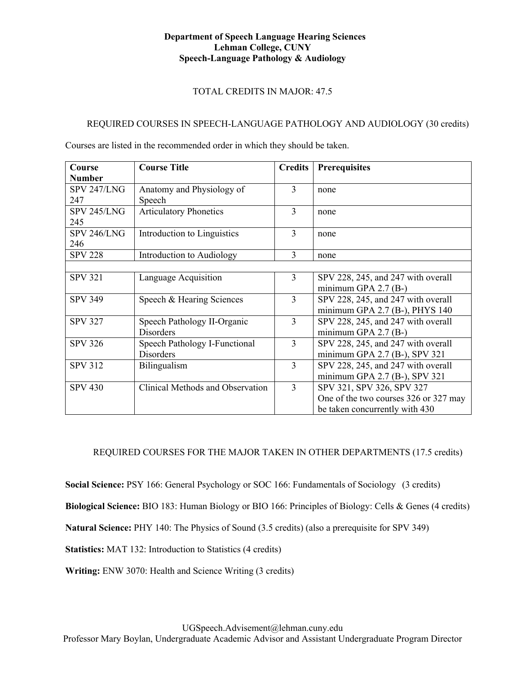### **Department of Speech Language Hearing Sciences Lehman College, CUNY Speech-Language Pathology & Audiology**

# TOTAL CREDITS IN MAJOR: 47.5

# REQUIRED COURSES IN SPEECH-LANGUAGE PATHOLOGY AND AUDIOLOGY (30 credits)

Courses are listed in the recommended order in which they should be taken.

| Course             | <b>Course Title</b>              | <b>Credits</b> | <b>Prerequisites</b>                  |
|--------------------|----------------------------------|----------------|---------------------------------------|
| <b>Number</b>      |                                  |                |                                       |
| <b>SPV 247/LNG</b> | Anatomy and Physiology of        | 3              | none                                  |
| 247                | Speech                           |                |                                       |
| SPV 245/LNG        | <b>Articulatory Phonetics</b>    | 3              | none                                  |
| 245                |                                  |                |                                       |
| SPV 246/LNG        | Introduction to Linguistics      | 3              | none                                  |
| 246                |                                  |                |                                       |
| <b>SPV 228</b>     | Introduction to Audiology        | 3              | none                                  |
|                    |                                  |                |                                       |
| <b>SPV 321</b>     | Language Acquisition             | 3              | SPV 228, 245, and 247 with overall    |
|                    |                                  |                | minimum GPA $2.7$ (B-)                |
| <b>SPV 349</b>     | Speech & Hearing Sciences        | 3              | SPV 228, 245, and 247 with overall    |
|                    |                                  |                | minimum GPA 2.7 (B-), PHYS 140        |
| <b>SPV 327</b>     | Speech Pathology II-Organic      | 3              | SPV 228, 245, and 247 with overall    |
|                    | <b>Disorders</b>                 |                | minimum GPA $2.7$ (B-)                |
| <b>SPV 326</b>     | Speech Pathology I-Functional    | 3              | SPV 228, 245, and 247 with overall    |
|                    | <b>Disorders</b>                 |                | minimum GPA $2.7$ (B-), SPV 321       |
| <b>SPV 312</b>     | Bilingualism                     | $\overline{3}$ | SPV 228, 245, and 247 with overall    |
|                    |                                  |                | minimum GPA $2.7$ (B-), SPV 321       |
| <b>SPV 430</b>     | Clinical Methods and Observation | 3              | SPV 321, SPV 326, SPV 327             |
|                    |                                  |                | One of the two courses 326 or 327 may |
|                    |                                  |                | be taken concurrently with 430        |

# REQUIRED COURSES FOR THE MAJOR TAKEN IN OTHER DEPARTMENTS (17.5 credits)

**Social Science:** PSY 166: General Psychology or SOC 166: Fundamentals of Sociology (3 credits)

**Biological Science:** BIO 183: Human Biology or BIO 166: Principles of Biology: Cells & Genes (4 credits)

**Natural Science:** PHY 140: The Physics of Sound (3.5 credits) (also a prerequisite for SPV 349)

**Statistics:** MAT 132: Introduction to Statistics (4 credits)

**Writing:** ENW 3070: Health and Science Writing (3 credits)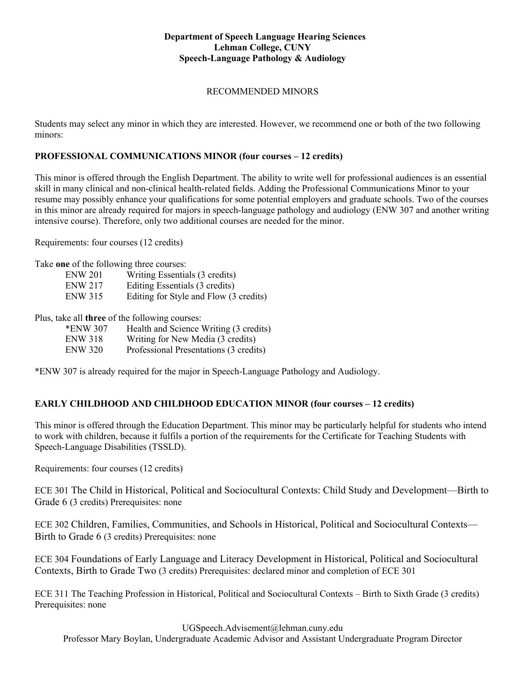### **Department of Speech Language Hearing Sciences Lehman College, CUNY Speech-Language Pathology & Audiology**

## RECOMMENDED MINORS

Students may select any minor in which they are interested. However, we recommend one or both of the two following minors:

## **PROFESSIONAL COMMUNICATIONS MINOR (four courses – 12 credits)**

This minor is offered through the English Department. The ability to write well for professional audiences is an essential skill in many clinical and non-clinical health-related fields. Adding the Professional Communications Minor to your resume may possibly enhance your qualifications for some potential employers and graduate schools. Two of the courses in this minor are already required for majors in speech-language pathology and audiology (ENW 307 and another writing intensive course). Therefore, only two additional courses are needed for the minor.

Requirements: four courses (12 credits)

Take **one** of the following three courses:

| ENW 201        | Writing Essentials (3 credits)         |
|----------------|----------------------------------------|
| <b>ENW 217</b> | Editing Essentials (3 credits)         |
| ENW 315        | Editing for Style and Flow (3 credits) |

Plus, take all **three** of the following courses:

| *ENW 307       | Health and Science Writing (3 credits) |
|----------------|----------------------------------------|
| <b>ENW 318</b> | Writing for New Media (3 credits)      |
| <b>ENW 320</b> | Professional Presentations (3 credits) |

\*ENW 307 is already required for the major in Speech-Language Pathology and Audiology.

#### **EARLY CHILDHOOD AND CHILDHOOD EDUCATION MINOR (four courses – 12 credits)**

This minor is offered through the Education Department. This minor may be particularly helpful for students who intend to work with children, because it fulfils a portion of the requirements for the Certificate for Teaching Students with Speech-Language Disabilities (TSSLD).

Requirements: four courses (12 credits)

ECE 301 The Child in Historical, Political and Sociocultural Contexts: Child Study and Development—Birth to Grade 6 (3 credits) Prerequisites: none

ECE 302 Children, Families, Communities, and Schools in Historical, Political and Sociocultural Contexts— Birth to Grade 6 (3 credits) Prerequisites: none

ECE 304 Foundations of Early Language and Literacy Development in Historical, Political and Sociocultural Contexts, Birth to Grade Two (3 credits) Prerequisites: declared minor and completion of ECE 301

ECE 311 The Teaching Profession in Historical, Political and Sociocultural Contexts – Birth to Sixth Grade (3 credits) Prerequisites: none

UGSpeech.Advisement@lehman.cuny.edu

Professor Mary Boylan, Undergraduate Academic Advisor and Assistant Undergraduate Program Director